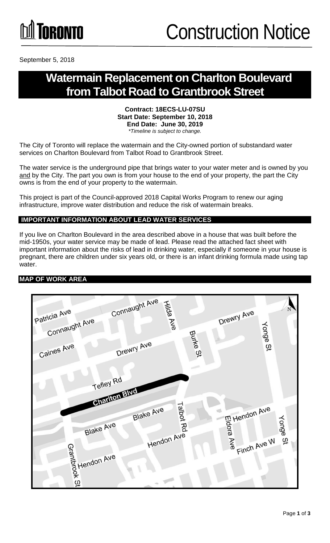

September 5, 2018

### **Watermain Replacement on Charlton Boulevard from Talbot Road to Grantbrook Street**

#### **Contract: 18ECS-LU-07SU Start Date: September 10, 2018 End Date: June 30, 2019** *\*Timeline is subject to change.*

The City of Toronto will replace the watermain and the City-owned portion of substandard water services on Charlton Boulevard from Talbot Road to Grantbrook Street.

The water service is the underground pipe that brings water to your water meter and is owned by you and by the City. The part you own is from your house to the end of your property, the part the City owns is from the end of your property to the watermain.

This project is part of the Council-approved 2018 Capital Works Program to renew our aging infrastructure, improve water distribution and reduce the risk of watermain breaks.

#### **IMPORTANT INFORMATION ABOUT LEAD WATER SERVICES**

If you live on Charlton Boulevard in the area described above in a house that was built before the mid-1950s, your water service may be made of lead. Please read the attached fact sheet with important information about the risks of lead in drinking water, especially if someone in your house is pregnant, there are children under six years old, or there is an infant drinking formula made using tap water.

#### **MAP OF WORK AREA**

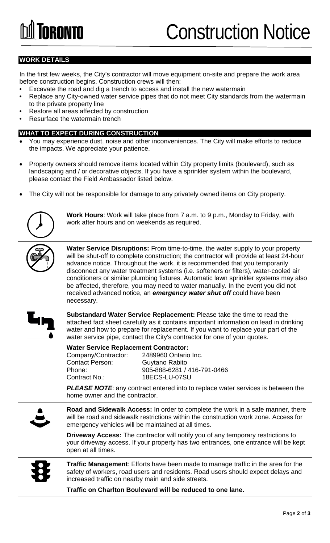## Construction Notice

#### **WORK DETAILS**

In the first few weeks, the City's contractor will move equipment on-site and prepare the work area before construction begins. Construction crews will then:

- Excavate the road and dig a trench to access and install the new watermain
- Replace any City-owned water service pipes that do not meet City standards from the watermain to the private property line
- Restore all areas affected by construction
- Resurface the watermain trench

#### **WHAT TO EXPECT DURING CONSTRUCTION**

- You may experience dust, noise and other inconveniences. The City will make efforts to reduce the impacts. We appreciate your patience.
- Property owners should remove items located within City property limits (boulevard), such as landscaping and / or decorative objects. If you have a sprinkler system within the boulevard, please contact the Field Ambassador listed below.
- The City will not be responsible for damage to any privately owned items on City property.

| Work Hours: Work will take place from 7 a.m. to 9 p.m., Monday to Friday, with<br>work after hours and on weekends as required.                                                                                                                                                                                                                                                                                                                                                                                                                                                                                             |  |
|-----------------------------------------------------------------------------------------------------------------------------------------------------------------------------------------------------------------------------------------------------------------------------------------------------------------------------------------------------------------------------------------------------------------------------------------------------------------------------------------------------------------------------------------------------------------------------------------------------------------------------|--|
| <b>Water Service Disruptions:</b> From time-to-time, the water supply to your property<br>will be shut-off to complete construction; the contractor will provide at least 24-hour<br>advance notice. Throughout the work, it is recommended that you temporarily<br>disconnect any water treatment systems (i.e. softeners or filters), water-cooled air<br>conditioners or similar plumbing fixtures. Automatic lawn sprinkler systems may also<br>be affected, therefore, you may need to water manually. In the event you did not<br>received advanced notice, an emergency water shut off could have been<br>necessary. |  |
| Substandard Water Service Replacement: Please take the time to read the<br>attached fact sheet carefully as it contains important information on lead in drinking<br>water and how to prepare for replacement. If you want to replace your part of the<br>water service pipe, contact the City's contractor for one of your quotes.                                                                                                                                                                                                                                                                                         |  |
| <b>Water Service Replacement Contractor:</b><br>Company/Contractor:<br>2489960 Ontario Inc.<br><b>Contact Person:</b><br>Guytano Rabito<br>Phone:<br>905-888-6281 / 416-791-0466<br>Contract No.:<br>18ECS-LU-07SU                                                                                                                                                                                                                                                                                                                                                                                                          |  |
| <b>PLEASE NOTE:</b> any contract entered into to replace water services is between the<br>home owner and the contractor.                                                                                                                                                                                                                                                                                                                                                                                                                                                                                                    |  |
| Road and Sidewalk Access: In order to complete the work in a safe manner, there<br>will be road and sidewalk restrictions within the construction work zone. Access for<br>emergency vehicles will be maintained at all times.                                                                                                                                                                                                                                                                                                                                                                                              |  |
| <b>Driveway Access:</b> The contractor will notify you of any temporary restrictions to<br>your driveway access. If your property has two entrances, one entrance will be kept<br>open at all times.                                                                                                                                                                                                                                                                                                                                                                                                                        |  |
| <b>Traffic Management:</b> Efforts have been made to manage traffic in the area for the<br>safety of workers, road users and residents. Road users should expect delays and<br>increased traffic on nearby main and side streets.                                                                                                                                                                                                                                                                                                                                                                                           |  |
| Traffic on Charlton Boulevard will be reduced to one lane.                                                                                                                                                                                                                                                                                                                                                                                                                                                                                                                                                                  |  |